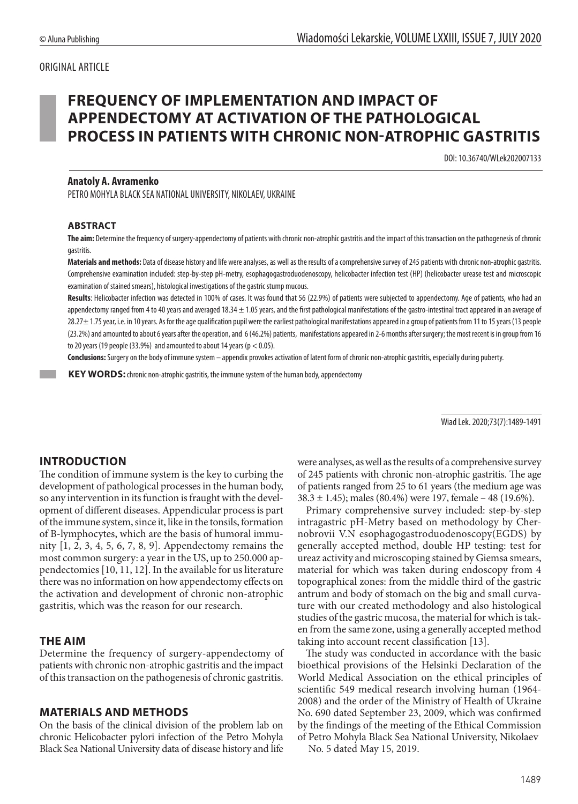# ORIGINAL ARTICLE

# **FREQUENCY OF IMPLEMENTATION AND IMPACT OF APPENDECTOMY AT ACTIVATION OF THE PATHOLOGICAL PROCESS IN PATIENTS WITH CHRONIC NON-ATROPHIC GASTRITIS**

DOI: 10.36740/WLek202007133

### **Anatoly A. Avramenko**

PETRO MOHYLA BLACK SEA NATIONAL UNIVERSITY, NIKOLAEV, UKRAINE

#### **ABSTRACT**

**The aim:** Determine the frequency of surgery-appendectomy of patients with chronic non-atrophic gastritis and the impact of this transaction on the pathogenesis of chronic gastritis.

**Materials and methods:** Data of disease history and life were analyses, as well as the results of a comprehensive survey of 245 patients with chronic non-atrophic gastritis. Comprehensive examination included: step-by-step pH-metry, esophagogastroduodenoscopy, helicobacter infection test (HP) (helicobacter urease test and microscopic examination of stained smears), histological investigations of the gastric stump mucous.

Results: Helicobacter infection was detected in 100% of cases. It was found that 56 (22.9%) of patients were subjected to appendectomy. Age of patients, who had an appendectomy ranged from 4 to 40 years and averaged 18.34 ± 1.05 years, and the first pathological manifestations of the gastro-intestinal tract appeared in an average of 28.27± 1.75 year, i.e. in 10 years. As for the age qualification pupil were the earliest pathological manifestations appeared in a group of patients from 11 to 15 years (13 people (23.2%) and amounted to about 6 years after the operation, and 6 (46.2%) patients, manifestations appeared in 2-6 months after surgery; the most recent is in group from 16 to 20 years (19 people (33.9%) and amounted to about 14 years ( $p < 0.05$ ).

**Conclusions:** Surgery on the body of immune system – appendix provokes activation of latent form of chronic non-atrophic gastritis, especially during puberty.

 **KEY WORDS:** chronic non-atrophic gastritis, the immune system of the human body, appendectomy

Wiad Lek. 2020;73(7):1489-1491

# **INTRODUCTION**

The condition of immune system is the key to curbing the development of pathological processes in the human body, so any intervention in its function is fraught with the development of different diseases. Appendicular process is part of the immune system, since it, like in the tonsils, formation of B-lymphocytes, which are the basis of humoral immunity [1, 2, 3, 4, 5, 6, 7, 8, 9]. Appendectomy remains the most common surgery: a year in the US, up to 250.000 appendectomies [10, 11, 12]. In the available for us literature there was no information on how appendectomy effects on the activation and development of chronic non-atrophic gastritis, which was the reason for our research.

#### **THE AIM**

Determine the frequency of surgery-appendectomy of patients with chronic non-atrophic gastritis and the impact of this transaction on the pathogenesis of chronic gastritis.

## **MATERIALS AND METHODS**

On the basis of the clinical division of the problem lab on chronic Helicobacter pylori infection of the Petro Mohyla Black Sea National University data of disease history and life were analyses, as well as the results of a comprehensive survey of 245 patients with chronic non-atrophic gastritis. The age of patients ranged from 25 to 61 years (the medium age was 38.3 ± 1.45); males (80.4%) were 197, female – 48 (19.6%).

Primary comprehensive survey included: step-by-step intragastric pH-Metry based on methodology by Chernobrovii V.N esophagogastroduodenoscopy(EGDS) by generally accepted method, double HP testing: test for ureaz activity and microscoping stained by Giemsa smears, material for which was taken during endoscopy from 4 topographical zones: from the middle third of the gastric antrum and body of stomach on the big and small curvature with our created methodology and also histological studies of the gastric mucosa, the material for which is taken from the same zone, using a generally accepted method taking into account recent classification [13].

The study was conducted in accordance with the basic bioethical provisions of the Helsinki Declaration of the World Medical Association on the ethical principles of scientific 549 medical research involving human (1964- 2008) and the order of the Ministry of Health of Ukraine No. 690 dated September 23, 2009, which was confirmed by the findings of the meeting of the Ethical Commission of Petro Mohyla Black Sea National University, Nikolaev

No. 5 dated May 15, 2019.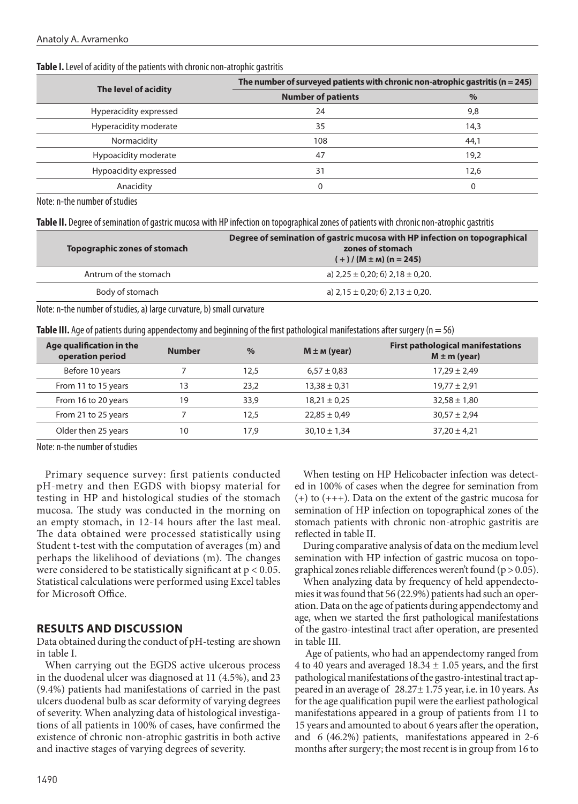| The level of acidity   | The number of surveyed patients with chronic non-atrophic gastritis ( $n = 245$ ) |      |  |
|------------------------|-----------------------------------------------------------------------------------|------|--|
|                        | <b>Number of patients</b>                                                         | $\%$ |  |
| Hyperacidity expressed | 24                                                                                | 9,8  |  |
| Hyperacidity moderate  | 35                                                                                | 14,3 |  |
| Normacidity            | 108                                                                               | 44,1 |  |
| Hypoacidity moderate   | 47                                                                                | 19,2 |  |
| Hypoacidity expressed  | 31                                                                                | 12,6 |  |
| Anacidity              |                                                                                   |      |  |

#### **Table I.** Level of acidity of the patients with chronic non-atrophic gastritis

Note: n-the number of studies

**Table II.** Degree of semination of gastric mucosa with HP infection on topographical zones of patients with chronic non-atrophic gastritis

| Topographic zones of stomach | Degree of semination of gastric mucosa with HP infection on topographical<br>zones of stomach<br>$(+)/(M \pm m)(n = 245)$ |
|------------------------------|---------------------------------------------------------------------------------------------------------------------------|
| Antrum of the stomach        | a) $2,25 \pm 0,20$ ; 6) $2,18 \pm 0,20$ .                                                                                 |
| Body of stomach              | a) $2,15 \pm 0,20$ ; 6) $2,13 \pm 0,20$ .                                                                                 |
| .                            |                                                                                                                           |

Note: n-the number of studies, a) large curvature, b) small curvature

|  | Table III. Age of patients during appendectomy and beginning of the first pathological manifestations after surgery (n = 56) |  |  |  |  |
|--|------------------------------------------------------------------------------------------------------------------------------|--|--|--|--|
|--|------------------------------------------------------------------------------------------------------------------------------|--|--|--|--|

| Age qualification in the<br>operation period | <b>Number</b> | $\%$ | $M \pm m$ (year) | <b>First pathological manifestations</b><br>$M \pm m$ (year) |
|----------------------------------------------|---------------|------|------------------|--------------------------------------------------------------|
| Before 10 years                              |               | 12.5 | $6,57 \pm 0.83$  | $17,29 \pm 2,49$                                             |
| From 11 to 15 years                          | 13            | 23.2 | $13,38 \pm 0,31$ | $19,77 \pm 2,91$                                             |
| From 16 to 20 years                          | 19            | 33,9 | $18,21 \pm 0.25$ | $32,58 \pm 1,80$                                             |
| From 21 to 25 years                          |               | 12.5 | $22,85 \pm 0,49$ | $30.57 \pm 2.94$                                             |
| Older then 25 years                          | 10            | 17.9 | $30,10 \pm 1,34$ | $37,20 \pm 4,21$                                             |

Note: n-the number of studies

Primary sequence survey: first patients conducted pH-metry and then EGDS with biopsy material for testing in HP and histological studies of the stomach mucosa. The study was conducted in the morning on an empty stomach, in 12-14 hours after the last meal. The data obtained were processed statistically using Student t-test with the computation of averages (m) and perhaps the likelihood of deviations (m). The changes were considered to be statistically significant at  $p < 0.05$ . Statistical calculations were performed using Excel tables for Microsoft Office.

# **RESULTS AND DISCUSSION**

Data obtained during the conduct of pH-testing are shown in table I.

When carrying out the EGDS active ulcerous process in the duodenal ulcer was diagnosed at 11 (4.5%), and 23 (9.4%) patients had manifestations of carried in the past ulcers duodenal bulb as scar deformity of varying degrees of severity. When analyzing data of histological investigations of all patients in 100% of cases, have confirmed the existence of chronic non-atrophic gastritis in both active and inactive stages of varying degrees of severity.

When testing on HP Helicobacter infection was detected in 100% of cases when the degree for semination from (+) to (+++). Data on the extent of the gastric mucosa for semination of HP infection on topographical zones of the stomach patients with chronic non-atrophic gastritis are reflected in table II.

During comparative analysis of data on the medium level semination with HP infection of gastric mucosa on topographical zones reliable differences weren't found ( $p > 0.05$ ).

When analyzing data by frequency of held appendectomies it was found that 56 (22.9%) patients had such an operation. Data on the age of patients during appendectomy and age, when we started the first pathological manifestations of the gastro-intestinal tract after operation, are presented in table III.

 Age of patients, who had an appendectomy ranged from 4 to 40 years and averaged  $18.34 \pm 1.05$  years, and the first pathological manifestations of the gastro-intestinal tract appeared in an average of 28.27± 1.75 year, i.e. in 10 years. As for the age qualification pupil were the earliest pathological manifestations appeared in a group of patients from 11 to 15 years and amounted to about 6 years after the operation, and 6 (46.2%) patients, manifestations appeared in 2-6 months after surgery; the most recent is in group from 16 to